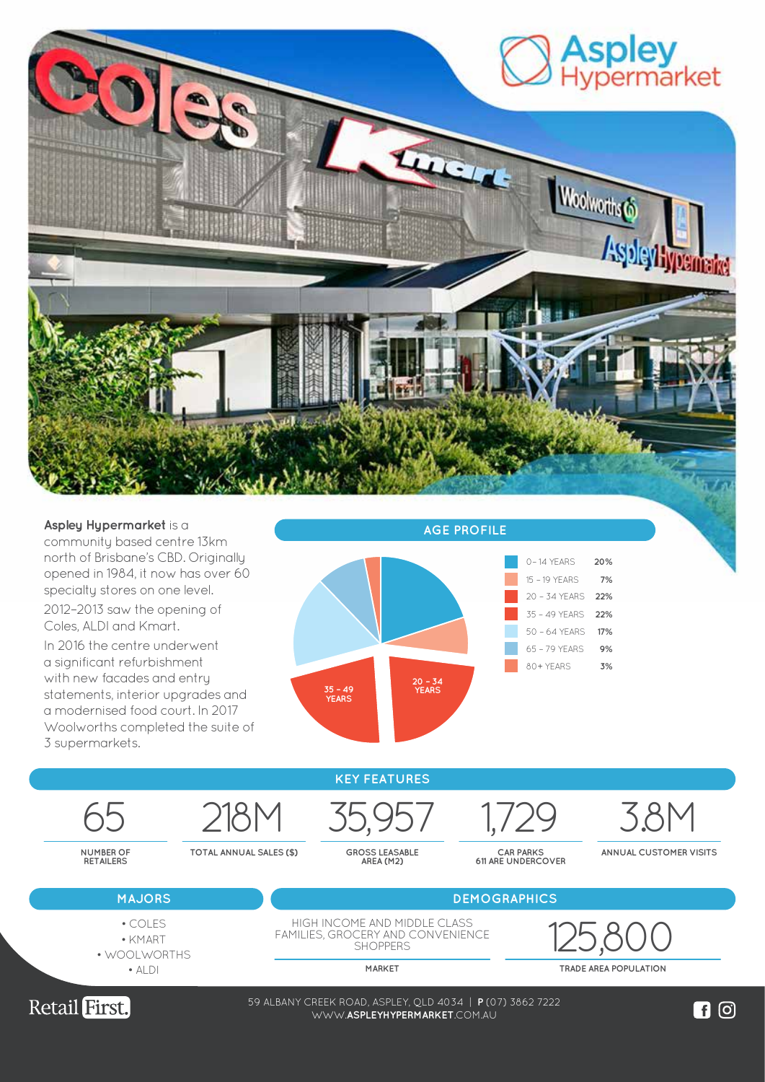

**Aspley Hypermarket** is a community based centre 13km north of Brisbane's CBD. Originally opened in 1984, it now has over 60 specialty stores on one level.

2012–2013 saw the opening of Coles, ALDI and Kmart.

In 2016 the centre underwent a significant refurbishment with new facades and entry statements, interior upgrades and a modernised food court. In 2017 Woolworths completed the suite of 3 supermarkets.



**KEY FEATURES**

65 218M 35,957 1,729 3.8M

**TOTAL ANNUAL SALES (\$) GROSS LEASABLE AREA (M2)**

**CAR PARKS 611 ARE UNDERCOVER**

**ANNUAL CUSTOMER VISITS**



**NUMBER OF RETAILERS**

> • KMART • WOOLWORTHS

 $\bullet$  ALDI

HIGH INCOME AND MIDDLE CLASS FAMILIES, GROCERY AND CONVENIENCE **SHOPPERS** • COLES<br>• KMART FAMILIES, GROCERY AND CONVENIENCE<br>SHOPPERS SHOPPERS 2011

**MARKET TRADE AREA POPULATION**



59 ALBANY CREEK ROAD, ASPLEY, QLD 4034 | **P** (07) 3862 7222 WWW.**LOGANCENTRALPLAZA**.COM.AU WWW.**ASPLEYHYPERMARKET**.COM.AU

 $\blacksquare$  이